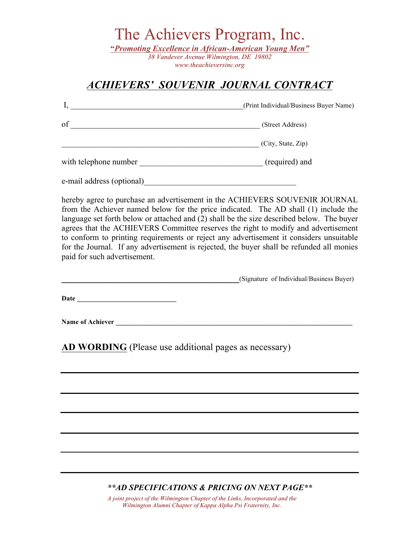The Achievers Program, Inc.

**"***Promoting Excellence in African-American Young Men" 38 Vandever Avenue Wilmington, DE 19802*

*www.theachieversinc.org*

# *ACHIEVERS' SOUVENIR JOURNAL CONTRACT*

|                           | (Print Individual/Business Buyer Name) |
|---------------------------|----------------------------------------|
| of                        | (Street Address)                       |
|                           | (City, State, Zip)                     |
| with telephone number     | (required) and                         |
| e-mail address (optional) |                                        |

hereby agree to purchase an advertisement in the ACHIEVERS SOUVENIR JOURNAL from the Achiever named below for the price indicated. The AD shall (1) include the language set forth below or attached and (2) shall be the size described below. The buyer agrees that the ACHIEVERS Committee reserves the right to modify and advertisement to conform to printing requirements or reject any advertisement it considers unsuitable for the Journal. If any advertisement is rejected, the buyer shall be refunded all monies paid for such advertisement.

**\_\_\_\_\_\_\_\_\_\_\_\_\_\_\_\_\_\_\_\_\_\_\_\_\_\_\_\_\_\_\_\_\_\_\_\_\_**(Signature of Individual/Business Buyer)

Date **Date Date** *n* 

 $\bf Name of \bf A$ chiever

**AD WORDING** (Please use additional pages as necessary)

## *\*\*AD SPECIFICATIONS & PRICING ON NEXT PAGE\*\**

*A joint project of the Wilmington Chapter of the Links, Incorporated and the Wilmington Alumni Chapter of Kappa Alpha Psi Fraternity, Inc.*